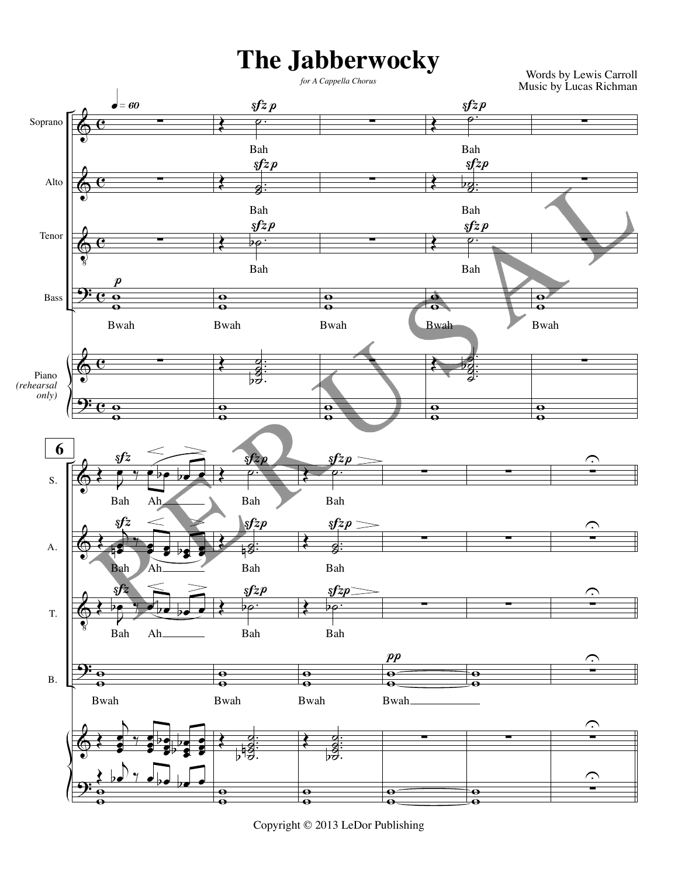## **The Jabberwocky** *for A Cappella Chorus*

Words by Lewis Carroll Music by Lucas Richman



Copyright © 2013 LeDor Publishing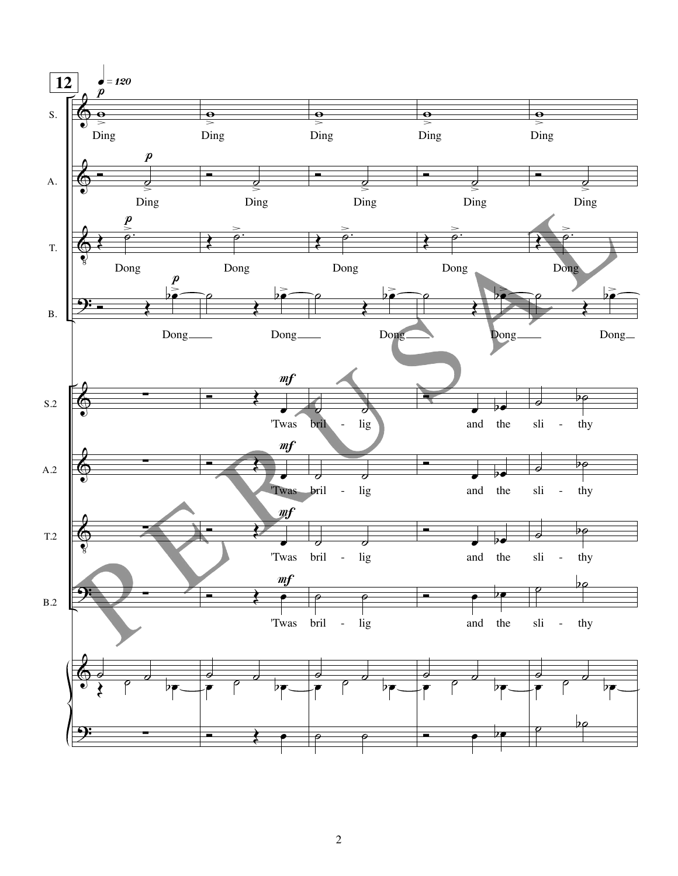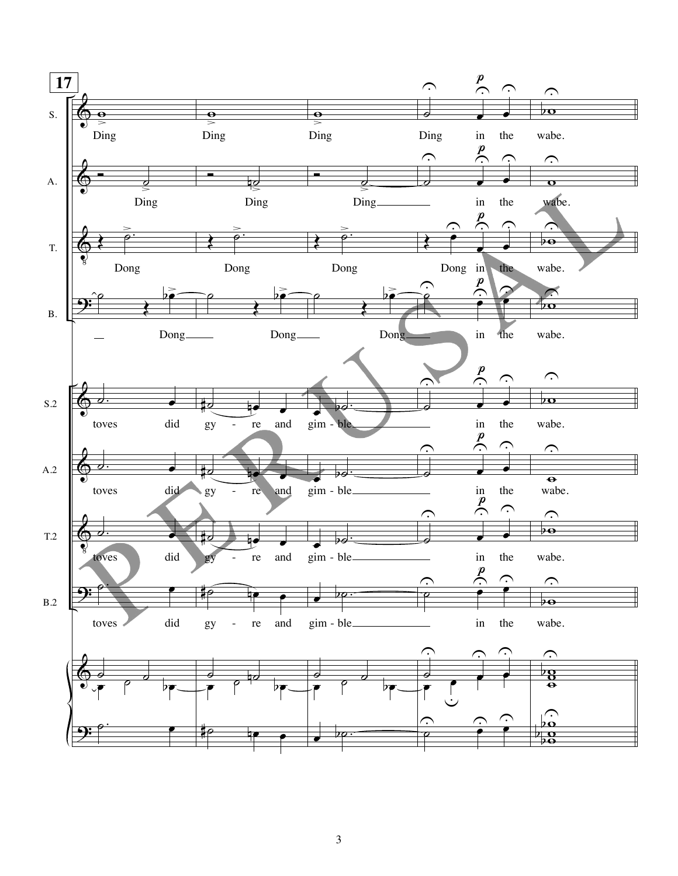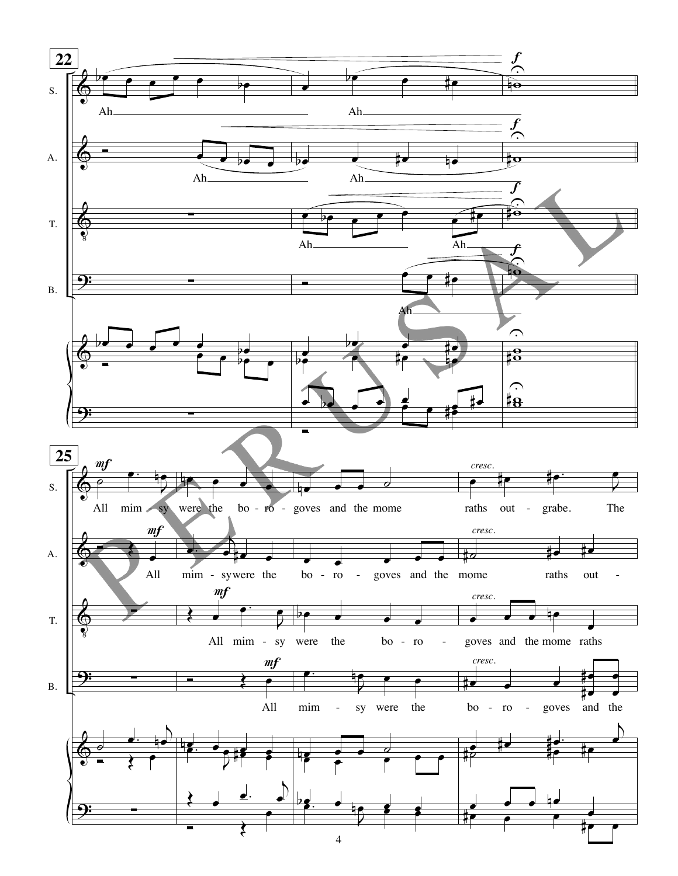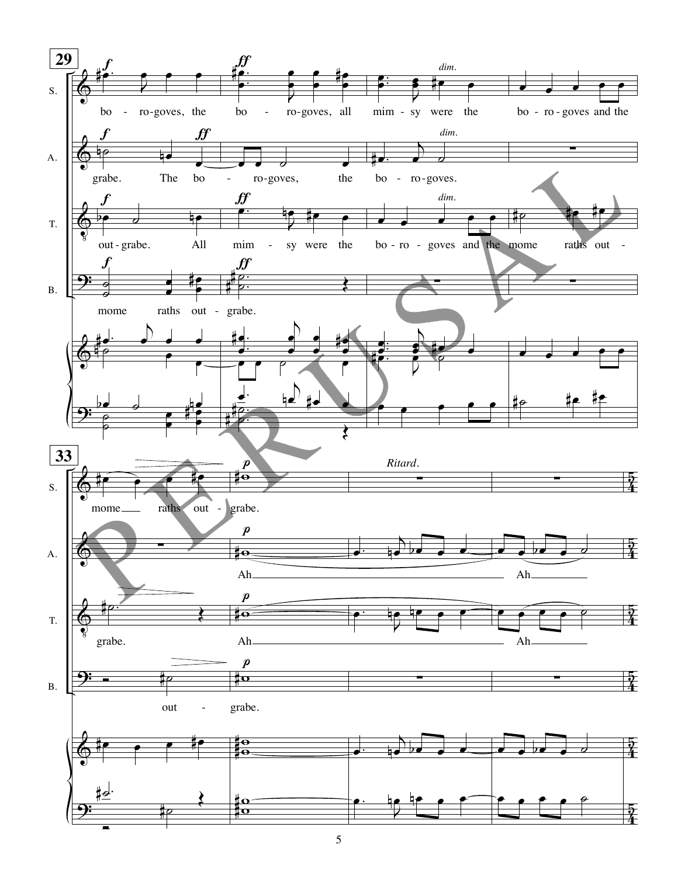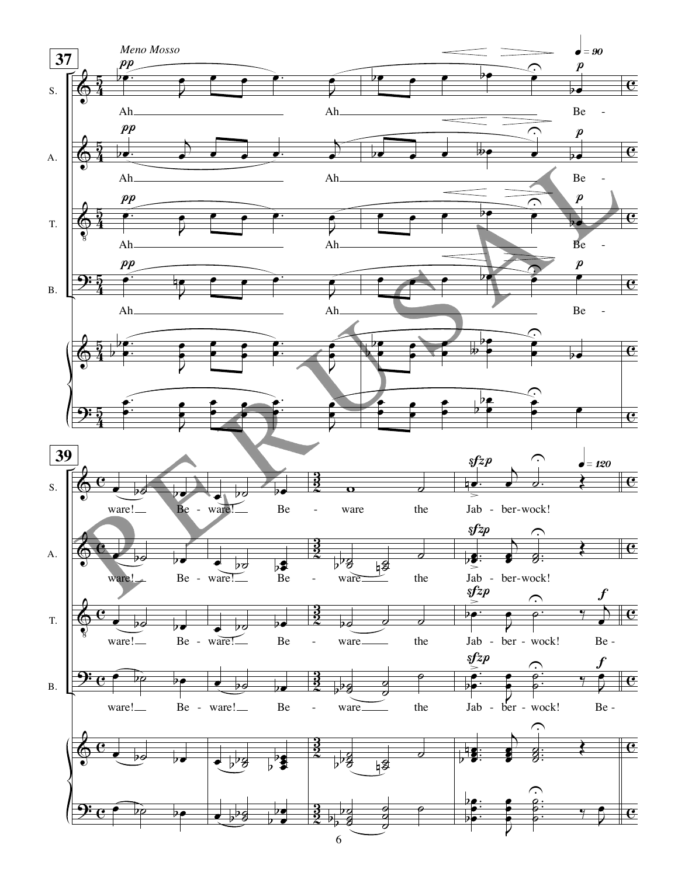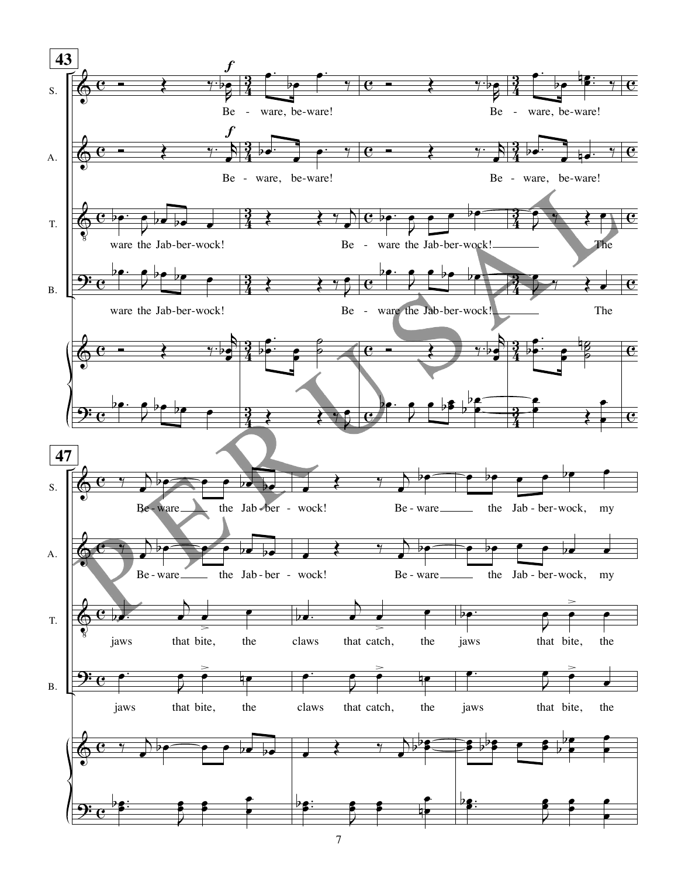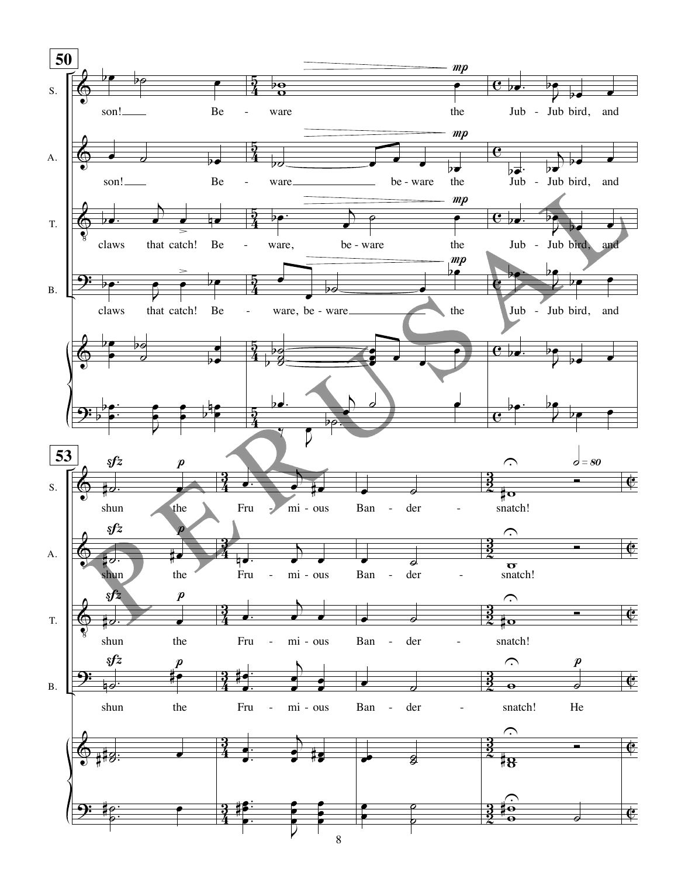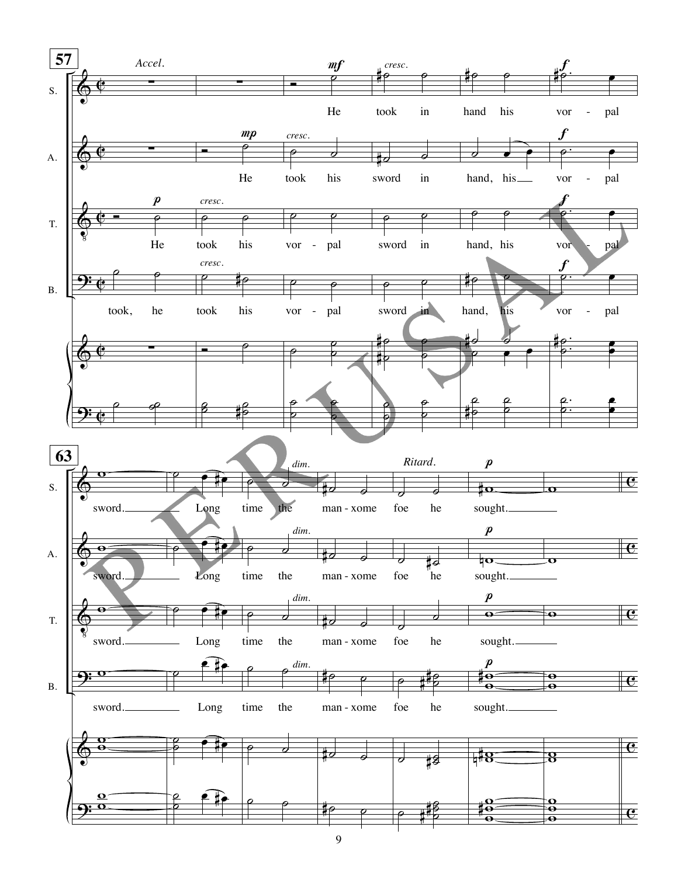

 $\overline{9}$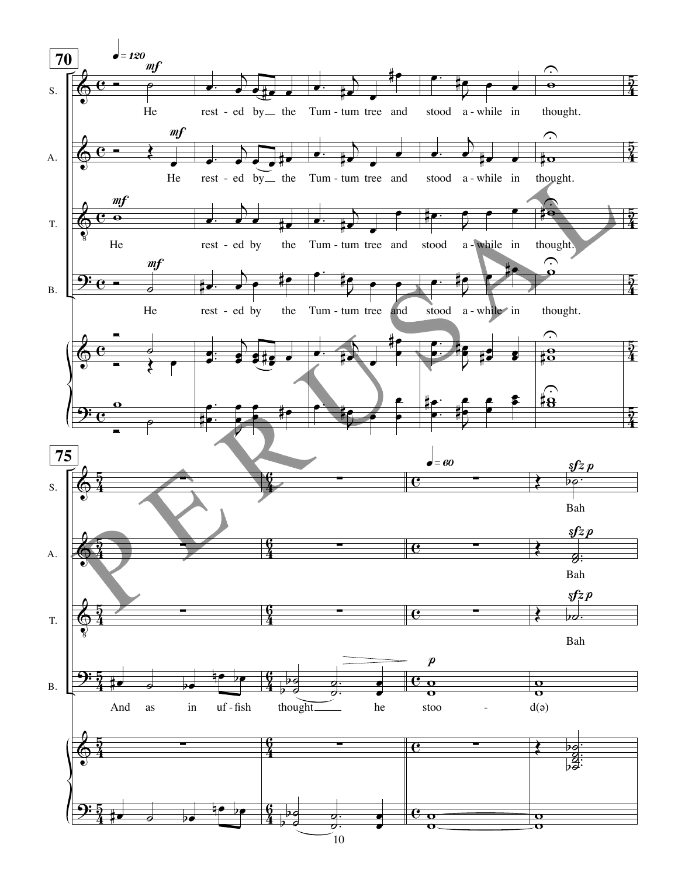